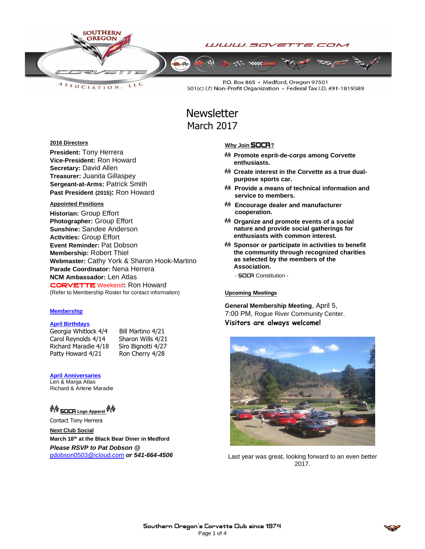

LLC ASSOCIATION.

P.O. Box 865 · Medford, Oregon 97501 501(c) (7) Non-Profit Organization · Federal Tax I.D. #91-1819589

# **Newsletter** March 2017

#### **2016 Directors**

**President:** Tony Herrera **Vice-President:** Ron Howard **Secretary:** David Allen **Treasurer:** Juanita Gillaspey **Sergeant-at-Arms:** Patrick Smith **Past President (2015):** Ron Howard

#### **Appointed Positions**

**Historian:** Group Effort **Photographer:** Group Effort **Sunshine:** Sandee Anderson **Activities:** Group Effort **Event Reminder:** Pat Dobson **Membership:** Robert Thiel **Webmaster:** Cathy York & Sharon Hook-Martino **Parade Coordinator:** Nena Herrera **NCM Ambassador:** Len Atlas CORVETTEWeekend**:** Ron Howard (Refer to Membership Roster for contact information)

#### **Membership**

#### **April Birthdays**

Georgia Whitlock 4/4 Bill Martino 4/21 Carol Reynolds 4/14 Sharon Wills 4/21 Richard Maradie 4/18 Siro Bignotti 4/27 Patty Howard 4/21 Ron Cherry 4/28

#### **April Anniversaries**

Len & Marga Atlas Richard & Arlene Maradie

# **☆☆ SOCA** Logo Apparel ☆☆

Contact Tony Herrera

**Next Club Social March 18th at the Black Bear Diner in Medford** *Please RSVP to Pat Dobson @*  [pdobson0503@icloud.com](mailto:pdobson0503@icloud.com) *or 541-664-4506*

#### **Why Join SOCA**?

- **Promote esprit-de-corps among Corvette enthusiasts.**
- **Create interest in the Corvette as a true dualpurpose sports car.**
- **Provide a means of technical information and service to members.**
- **Encourage dealer and manufacturer cooperation.**
- **Organize and promote events of a social nature and provide social gatherings for enthusiasts with common interest.**
- **Sponsor or participate in activities to benefit the community through recognized charities as selected by the members of the Association.**

- **SOCA** Constitution -

#### Upcoming Meetings

**General Membership Meeting**, April 5, 7:00 PM, Rogue River Community Center. **Visitors are always welcome!**



Last year was great, looking forward to an even better 2017.

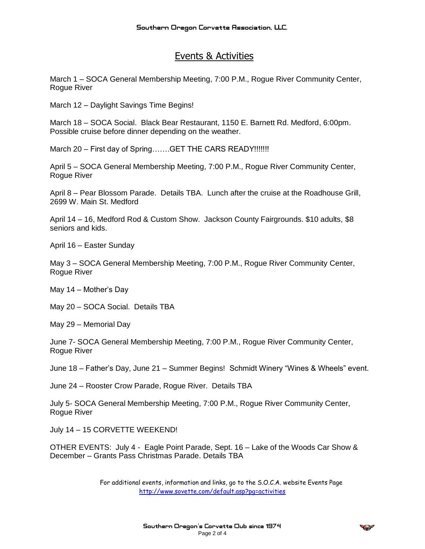# Events & Activities

March 1 – SOCA General Membership Meeting, 7:00 P.M., Rogue River Community Center, Rogue River

March 12 – Daylight Savings Time Begins!

March 18 – SOCA Social. Black Bear Restaurant, 1150 E. Barnett Rd. Medford, 6:00pm. Possible cruise before dinner depending on the weather.

March 20 – First day of Spring.......GET THE CARS READY!!!!!!!

April 5 – SOCA General Membership Meeting, 7:00 P.M., Rogue River Community Center, Rogue River

April 8 – Pear Blossom Parade. Details TBA. Lunch after the cruise at the Roadhouse Grill, 2699 W. Main St. Medford

April 14 – 16, Medford Rod & Custom Show. Jackson County Fairgrounds. \$10 adults, \$8 seniors and kids.

April 16 – Easter Sunday

May 3 – SOCA General Membership Meeting, 7:00 P.M., Rogue River Community Center, Rogue River

May 14 – Mother's Day

May 20 – SOCA Social. Details TBA

May 29 – Memorial Day

June 7- SOCA General Membership Meeting, 7:00 P.M., Rogue River Community Center, Rogue River

June 18 – Father's Day, June 21 – Summer Begins! Schmidt Winery "Wines & Wheels" event.

June 24 – Rooster Crow Parade, Rogue River. Details TBA

July 5- SOCA General Membership Meeting, 7:00 P.M., Rogue River Community Center, Rogue River

July 14 – 15 CORVETTE WEEKEND!

OTHER EVENTS: July 4 - Eagle Point Parade, Sept. 16 – Lake of the Woods Car Show & December – Grants Pass Christmas Parade. Details TBA

> For additional events, information and links, go to the S.O.C.A. website Events Page <http://www.sovette.com/default.asp?pg=activities>

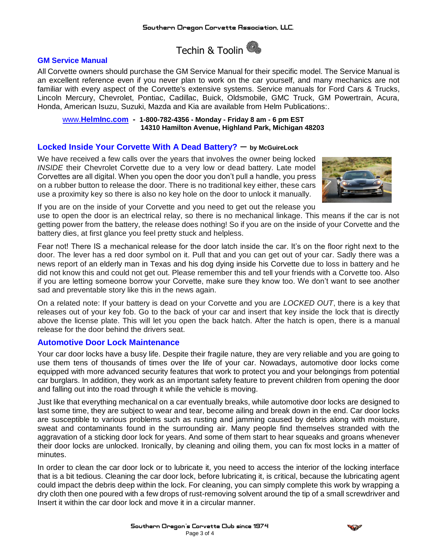Techin & Toolin

## **GM Service Manual**

All Corvette owners should purchase the GM Service Manual for their specific model. The Service Manual is an excellent reference even if you never plan to work on the car yourself, and many mechanics are not familiar with every aspect of the Corvette's extensive systems. Service manuals for Ford Cars & Trucks, Lincoln Mercury, Chevrolet, Pontiac, Cadillac, Buick, Oldsmobile, GMC Truck, GM Powertrain, Acura, Honda, American Isuzu, Suzuki, Mazda and Kia are available from Helm Publications:.

www.**HelmInc.com - 1-800-782-4356 - Monday - Friday 8 am - 6 pm EST 14310 Hamilton Avenue, Highland Park, Michigan 48203**

## **Locked Inside Your Corvette With A Dead Battery?** – **by [McGuireLock](http://mcguirelocksmith.com/author/mcguirelock/)**

We have received a few calls over the years that involves the owner being locked *INSIDE* their Chevrolet Corvette due to a very low or dead battery. Late model Corvettes are all digital. When you open the door you don't pull a handle, you press on a rubber button to release the door. There is no traditional key either, these cars use a proximity key so there is also no key hole on the door to unlock it manually.



If you are on the inside of your Corvette and you need to get out the release you

use to open the door is an electrical relay, so there is no mechanical linkage. This means if the car is not getting power from the battery, the release does nothing! So if you are on the inside of your Corvette and the battery dies, at first glance you feel pretty stuck and helpless.

Fear not! There IS a mechanical release for the door latch inside the car. It's on the floor right next to the door. The lever has a red door symbol on it. Pull that and you can get out of your car. Sadly there was a news report of an elderly man in Texas and his dog dying inside his [Corvette](http://www.nydailynews.com/news/national/texas-man-72-dies-trapped-corvette-dream-car-article-1.2253934) due to loss in battery and he did not know this and could not get out. Please remember this and tell your friends with a Corvette too. Also if you are letting someone borrow your Corvette, make sure they know too. We don't want to see another sad and preventable story like this in the news again.

On a related note: If your battery is dead on your Corvette and you are *LOCKED OUT*, there is a key that releases out of your key fob. Go to the back of your car and insert that key inside the lock that is directly above the license plate. This will let you open the back hatch. After the hatch is open, there is a manual release for the door behind the drivers seat.

# **Automotive Door Lock Maintenance**

Your car door locks have a busy life. Despite their fragile nature, they are very reliable and you are going to use them tens of thousands of times over the life of your car. Nowadays, automotive door locks come equipped with more advanced security features that work to protect you and your belongings from potential car burglars. In addition, they work as an important safety feature to prevent children from opening the door and falling out into the road through it while the vehicle is moving.

Just like that everything mechanical on a car eventually breaks, while automotive door locks are designed to last some time, they are subject to wear and tear, become ailing and break down in the end. Car door locks are susceptible to various problems such as rusting and jamming caused by debris along with moisture, sweat and contaminants found in the surrounding air. Many people find themselves stranded with the aggravation of a sticking door lock for years. And some of them start to hear squeaks and groans whenever their door locks are unlocked. Ironically, by cleaning and oiling them, you can fix most locks in a matter of minutes.

In order to clean the car door lock or to lubricate it, you need to access the interior of the locking interface that is a bit tedious. Cleaning the car door lock, before lubricating it, is critical, because the lubricating agent could impact the debris deep within the lock. For cleaning, you can simply complete this work by wrapping a dry cloth then one poured with a few drops of rust-removing solvent around the tip of a small screwdriver and Insert it within the car door lock and move it in a circular manner.